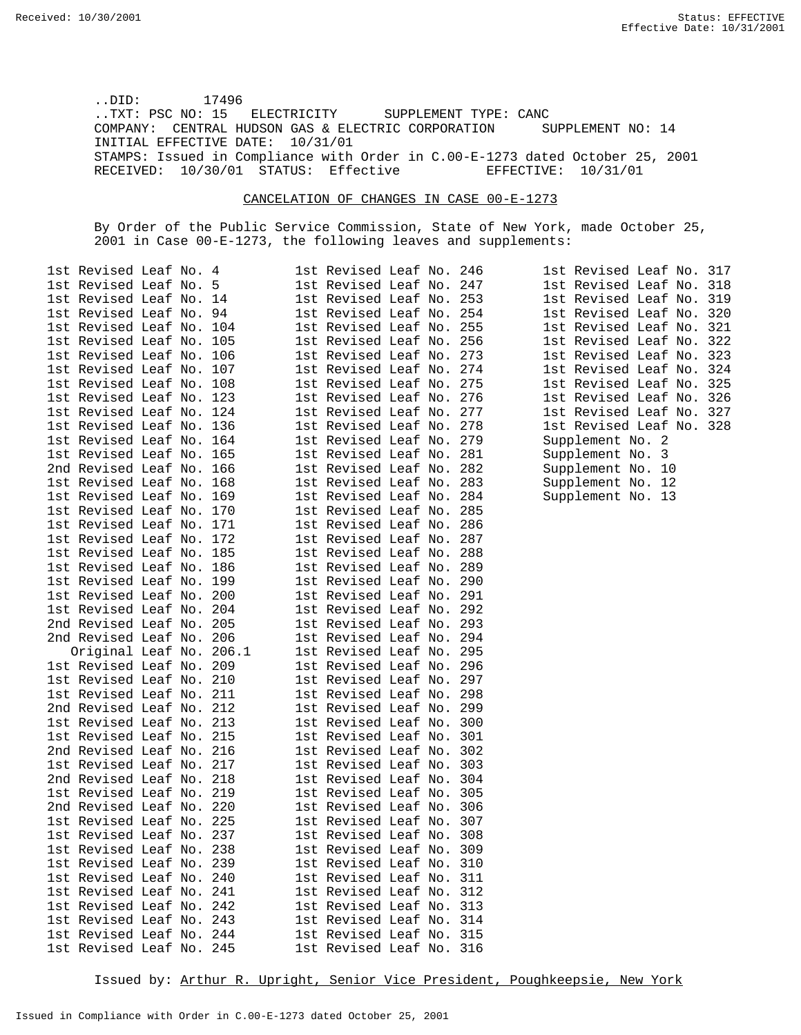..DID: 17496 ..TXT: PSC NO: 15 ELECTRICITY SUPPLEMENT TYPE: CANC COMPANY: CENTRAL HUDSON GAS & ELECTRIC CORPORATION SUPPLEMENT NO: 14 INITIAL EFFECTIVE DATE: 10/31/01 STAMPS: Issued in Compliance with Order in C.00-E-1273 dated October 25, 2001<br>RECEIVED: 10/30/01 STATUS: Effective EFFECTIVE: 10/31/01 RECEIVED: 10/30/01 STATUS: Effective

## CANCELATION OF CHANGES IN CASE 00-E-1273

By Order of the Public Service Commission, State of New York, made October 25, 2001 in Case 00-E-1273, the following leaves and supplements:

| lst Revised Leaf No. 4   |     | 1st Revised Leaf No.<br>246 |
|--------------------------|-----|-----------------------------|
| 1st Revised Leaf No.     | 5   | 1st Revised Leaf No.<br>247 |
| lst Revised Leaf No.     | 14  | 1st Revised Leaf No.<br>253 |
| 1st Revised Leaf No.     | 94  | 1st Revised Leaf No.<br>254 |
| 1st Revised Leaf No.     | 104 | 1st Revised Leaf No.<br>255 |
| 1st Revised Leaf No.     | 105 | 1st Revised Leaf No.<br>256 |
| 1st Revised Leaf No.     | 106 | 1st Revised Leaf No.<br>273 |
| 1st Revised Leaf No.     | 107 | 1st Revised Leaf No.<br>274 |
| 1st Revised Leaf No.     | 108 | 1st Revised Leaf No.<br>275 |
| 1st Revised Leaf No. 123 |     | 1st Revised Leaf No.<br>276 |
| 1st Revised Leaf No. 124 |     | 1st Revised Leaf No.<br>277 |
| 1st Revised Leaf No.     | 136 | 1st Revised Leaf No.<br>278 |
| 1st Revised Leaf No.     | 164 | 1st Revised Leaf No.<br>279 |
| 1st Revised Leaf No.     | 165 | 1st Revised Leaf No.<br>281 |
| 2nd Revised Leaf No.     | 166 | 1st Revised Leaf No.<br>282 |
| 1st Revised Leaf No.     | 168 | 1st Revised Leaf No.<br>283 |
| 1st Revised Leaf No.     | 169 | 1st Revised Leaf No.<br>284 |
| 1st Revised Leaf No.     | 170 | 1st Revised Leaf No.<br>285 |
| 1st Revised Leaf No. 171 |     | 1st Revised Leaf No.<br>286 |
| 1st Revised Leaf No. 172 |     | 1st Revised Leaf No.<br>287 |
| 1st Revised Leaf No. 185 |     | 1st Revised Leaf No.<br>288 |
| 1st Revised Leaf No.     | 186 | 1st Revised Leaf No.<br>289 |
| 1st Revised Leaf No.     | 199 | 1st Revised Leaf No.<br>290 |
| 1st Revised Leaf No. 200 |     | 1st Revised Leaf No.<br>291 |
| 1st Revised Leaf No. 204 |     | 1st Revised Leaf No.<br>292 |
| 2nd Revised Leaf No.     | 205 | 1st Revised Leaf No.<br>293 |
| 2nd Revised Leaf No. 206 |     | 1st Revised Leaf No.<br>294 |
| Original Leaf No. 206.1  |     | 1st Revised Leaf No.<br>295 |
| 1st Revised Leaf No.     | 209 | 1st Revised Leaf No.<br>296 |
| 1st Revised Leaf No. 210 |     | 1st Revised Leaf No.<br>297 |
| 1st Revised Leaf No. 211 |     | 1st Revised Leaf No.<br>298 |
| 2nd Revised Leaf No. 212 |     | 1st Revised Leaf No.<br>299 |
| 1st Revised Leaf No. 213 |     | 1st Revised Leaf No.<br>300 |
| 1st Revised Leaf No. 215 |     | 1st Revised Leaf No.<br>301 |
| 2nd Revised Leaf No. 216 |     | 1st Revised Leaf No.<br>302 |
| 1st Revised Leaf No.     | 217 | 1st Revised Leaf No.<br>303 |
| 2nd Revised Leaf No.     | 218 | 1st Revised Leaf No.<br>304 |
| 1st Revised Leaf No. 219 |     | 1st Revised Leaf No.<br>305 |
| 2nd Revised Leaf No. 220 |     | 1st Revised Leaf No.<br>306 |
| 1st Revised Leaf No. 225 |     | 1st Revised Leaf No. 307    |
| 1st Revised Leaf No. 237 |     | 1st Revised Leaf No.<br>308 |
| 1st Revised Leaf No. 238 |     | 1st Revised Leaf No. 309    |
| 1st Revised Leaf No. 239 |     | 1st Revised Leaf No. 310    |
| 1st Revised Leaf No.     | 240 | 1st Revised Leaf No. 311    |
| 1st Revised Leaf No.     | 241 | 1st Revised Leaf No.<br>312 |
| 1st Revised Leaf No.     | 242 | 1st Revised Leaf No.<br>313 |
| 1st Revised Leaf No.     | 243 | 1st Revised Leaf No.<br>314 |
| 1st Revised Leaf No. 244 |     | 1st Revised Leaf No. 315    |
| 1st Revised Leaf No. 245 |     | 1st Revised Leaf No. 316    |

1st Revised Leaf No. 317 1st Revised Leaf No. 318 1st Revised Leaf No. 319 1st Revised Leaf No. 320 1st Revised Leaf No. 321 1st Revised Leaf No. 322 1st Revised Leaf No. 323 1st Revised Leaf No. 324 1st Revised Leaf No. 325 1st Revised Leaf No. 326 1st Revised Leaf No. 327 1st Revised Leaf No. 328 Supplement No. 2 Supplement No. 3 Supplement No. 10 Supplement No. 12

Supplement No. 13

Issued by: Arthur R. Upright, Senior Vice President, Poughkeepsie, New York